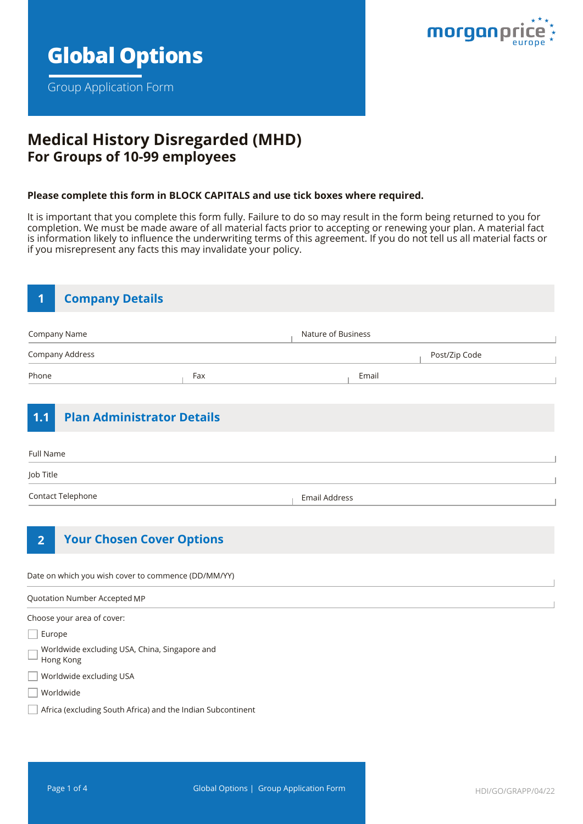

Group Application Form



# **Medical History Disregarded (MHD) For Groups of 10-99 employees**

#### **Please complete this form in BLOCK CAPITALS and use tick boxes where required.**

It is important that you complete this form fully. Failure to do so may result in the form being returned to you for completion. We must be made aware of all material facts prior to accepting or renewing your plan. A material fact is information likely to influence the underwriting terms of this agreement. If you do not tell us all material facts or if you misrepresent any facts this may invalidate your policy.

| <b>Company Details</b><br>1  |                                                     |                      |               |  |
|------------------------------|-----------------------------------------------------|----------------------|---------------|--|
| Company Name                 |                                                     | Nature of Business   |               |  |
| Company Address              |                                                     |                      | Post/Zip Code |  |
| Phone                        | Fax                                                 | Email                |               |  |
| 1.1                          | <b>Plan Administrator Details</b>                   |                      |               |  |
| Full Name                    |                                                     |                      |               |  |
| Job Title                    |                                                     |                      |               |  |
| Contact Telephone            |                                                     | <b>Email Address</b> |               |  |
| $\overline{2}$               | <b>Your Chosen Cover Options</b>                    |                      |               |  |
|                              | Date on which you wish cover to commence (DD/MM/YY) |                      |               |  |
| Quotation Number Accepted MP |                                                     |                      |               |  |
| Choose your area of cover:   |                                                     |                      |               |  |
| Europe                       |                                                     |                      |               |  |
| Hong Kong                    | Worldwide excluding USA, China, Singapore and       |                      |               |  |
| Worldwide excluding USA      |                                                     |                      |               |  |
| Worldwide                    |                                                     |                      |               |  |

Africa (excluding South Africa) and the Indian Subcontinent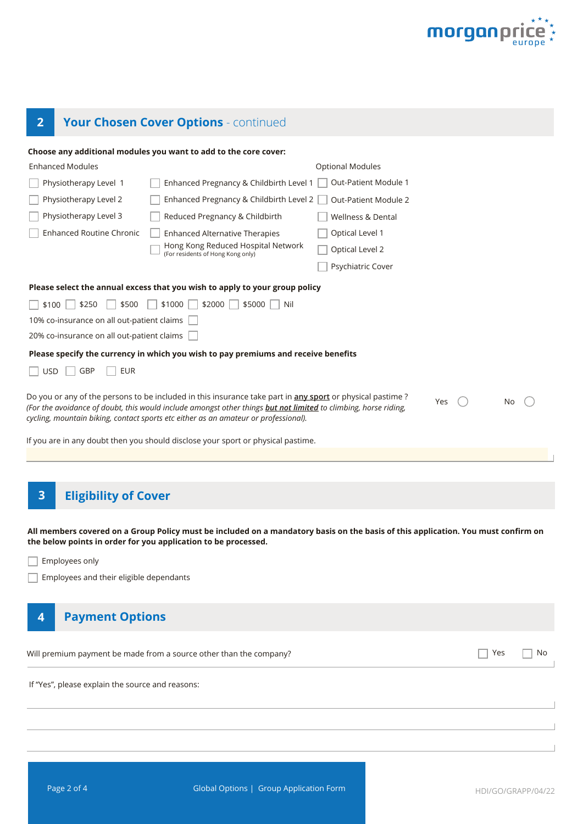

# **2 Your Chosen Cover Options** - continued

|                                                  | Choose any additional modules you want to add to the core cover:                                                                                                                                                                                                                                                                                                                                        |                         |     |     |    |
|--------------------------------------------------|---------------------------------------------------------------------------------------------------------------------------------------------------------------------------------------------------------------------------------------------------------------------------------------------------------------------------------------------------------------------------------------------------------|-------------------------|-----|-----|----|
| <b>Enhanced Modules</b>                          |                                                                                                                                                                                                                                                                                                                                                                                                         | <b>Optional Modules</b> |     |     |    |
| Physiotherapy Level 1                            | Enhanced Pregnancy & Childbirth Level 1                                                                                                                                                                                                                                                                                                                                                                 | Out-Patient Module 1    |     |     |    |
| Physiotherapy Level 2                            | Enhanced Pregnancy & Childbirth Level 2                                                                                                                                                                                                                                                                                                                                                                 | Out-Patient Module 2    |     |     |    |
| Physiotherapy Level 3                            | Reduced Pregnancy & Childbirth                                                                                                                                                                                                                                                                                                                                                                          | Wellness & Dental       |     |     |    |
| <b>Enhanced Routine Chronic</b>                  | <b>Enhanced Alternative Therapies</b>                                                                                                                                                                                                                                                                                                                                                                   | Optical Level 1         |     |     |    |
|                                                  | Hong Kong Reduced Hospital Network<br>(For residents of Hong Kong only)                                                                                                                                                                                                                                                                                                                                 | Optical Level 2         |     |     |    |
|                                                  |                                                                                                                                                                                                                                                                                                                                                                                                         | Psychiatric Cover       |     |     |    |
|                                                  | Please select the annual excess that you wish to apply to your group policy                                                                                                                                                                                                                                                                                                                             |                         |     |     |    |
| \$250<br>\$500<br>\$100                          | \$1000<br>$$2000$  <br>\$5000<br>Nil                                                                                                                                                                                                                                                                                                                                                                    |                         |     |     |    |
| 10% co-insurance on all out-patient claims       |                                                                                                                                                                                                                                                                                                                                                                                                         |                         |     |     |    |
| 20% co-insurance on all out-patient claims       |                                                                                                                                                                                                                                                                                                                                                                                                         |                         |     |     |    |
|                                                  | Please specify the currency in which you wish to pay premiums and receive benefits                                                                                                                                                                                                                                                                                                                      |                         |     |     |    |
| GBP<br><b>EUR</b><br><b>USD</b>                  |                                                                                                                                                                                                                                                                                                                                                                                                         |                         |     |     |    |
|                                                  | Do you or any of the persons to be included in this insurance take part in any sport or physical pastime?<br>(For the avoidance of doubt, this would include amongst other things but not limited to climbing, horse riding,<br>cycling, mountain biking, contact sports etc either as an amateur or professional).<br>If you are in any doubt then you should disclose your sport or physical pastime. |                         | Yes |     | No |
| <b>Eligibility of Cover</b><br>3                 | All members covered on a Group Policy must be included on a mandatory basis on the basis of this application. You must confirm on                                                                                                                                                                                                                                                                       |                         |     |     |    |
|                                                  | the below points in order for you application to be processed.                                                                                                                                                                                                                                                                                                                                          |                         |     |     |    |
| Employees only                                   |                                                                                                                                                                                                                                                                                                                                                                                                         |                         |     |     |    |
| Employees and their eligible dependants          |                                                                                                                                                                                                                                                                                                                                                                                                         |                         |     |     |    |
| <b>Payment Options</b><br>4                      |                                                                                                                                                                                                                                                                                                                                                                                                         |                         |     |     |    |
|                                                  | Will premium payment be made from a source other than the company?                                                                                                                                                                                                                                                                                                                                      |                         |     | Yes | No |
| If "Yes", please explain the source and reasons: |                                                                                                                                                                                                                                                                                                                                                                                                         |                         |     |     |    |
|                                                  |                                                                                                                                                                                                                                                                                                                                                                                                         |                         |     |     |    |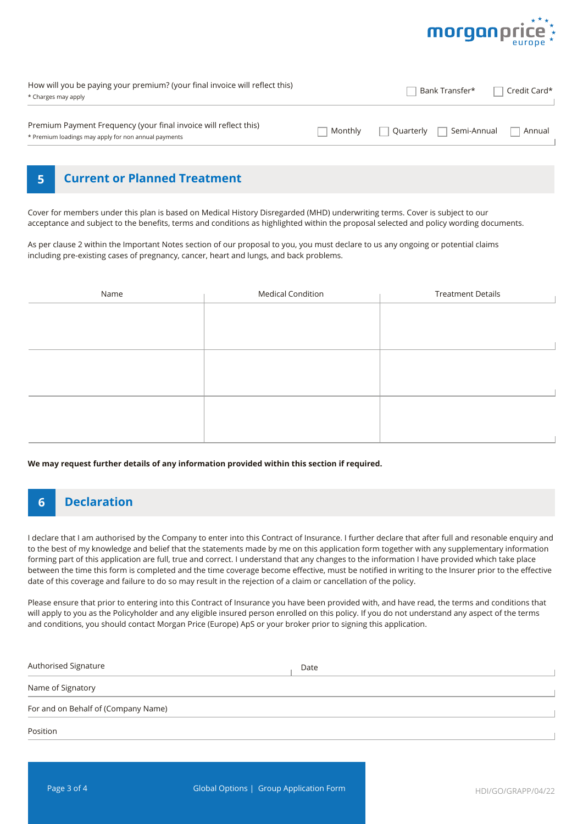

| How will you be paying your premium? (your final invoice will reflect this)<br>* Charges may apply                       |         | Bank Transfer*             | Credit Card* |
|--------------------------------------------------------------------------------------------------------------------------|---------|----------------------------|--------------|
| Premium Payment Frequency (your final invoice will reflect this)<br>* Premium loadings may apply for non annual payments | Monthly | l Semi-Annual<br>Quarterly | Annual       |

### **5 Current or Planned Treatment**

Cover for members under this plan is based on Medical History Disregarded (MHD) underwriting terms. Cover is subject to our acceptance and subject to the benefits, terms and conditions as highlighted within the proposal selected and policy wording documents.

As per clause 2 within the Important Notes section of our proposal to you, you must declare to us any ongoing or potential claims including pre-existing cases of pregnancy, cancer, heart and lungs, and back problems.

| Name | <b>Medical Condition</b> | <b>Treatment Details</b> |
|------|--------------------------|--------------------------|
|      |                          |                          |
|      |                          |                          |
|      |                          |                          |
|      |                          |                          |
|      |                          |                          |
|      |                          |                          |
|      |                          |                          |
|      |                          |                          |
|      |                          |                          |

**We may request further details of any information provided within this section if required.**

# **6 Declaration**

I declare that I am authorised by the Company to enter into this Contract of Insurance. I further declare that after full and resonable enquiry and to the best of my knowledge and belief that the statements made by me on this application form together with any supplementary information forming part of this application are full, true and correct. I understand that any changes to the information I have provided which take place between the time this form is completed and the time coverage become effective, must be notified in writing to the Insurer prior to the effective date of this coverage and failure to do so may result in the rejection of a claim or cancellation of the policy.

Please ensure that prior to entering into this Contract of Insurance you have been provided with, and have read, the terms and conditions that will apply to you as the Policyholder and any eligible insured person enrolled on this policy. If you do not understand any aspect of the terms and conditions, you should contact Morgan Price (Europe) ApS or your broker prior to signing this application.

| Authorised Signature                | Date |
|-------------------------------------|------|
| Name of Signatory                   |      |
| For and on Behalf of (Company Name) |      |
| Position                            |      |